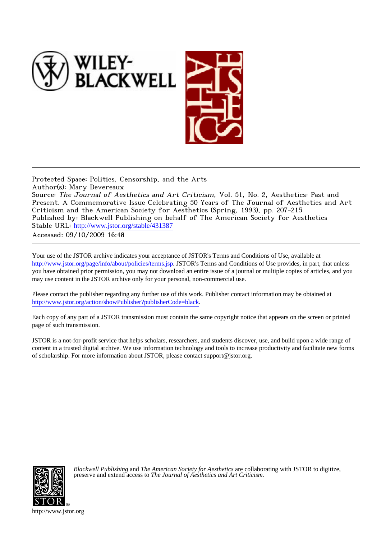

Protected Space: Politics, Censorship, and the Arts Author(s): Mary Devereaux Source: The Journal of Aesthetics and Art Criticism, Vol. 51, No. 2, Aesthetics: Past and Present. A Commemorative Issue Celebrating 50 Years of The Journal of Aesthetics and Art Criticism and the American Society for Aesthetics (Spring, 1993), pp. 207-215 Published by: Blackwell Publishing on behalf of The American Society for Aesthetics Stable URL: [http://www.jstor.org/stable/431387](https://www.jstor.org/stable/431387?origin=JSTOR-pdf)

Accessed: 09/10/2009 16:48

Your use of the JSTOR archive indicates your acceptance of JSTOR's Terms and Conditions of Use, available at [http://www.jstor.org/page/info/about/policies/terms.jsp](https://www.jstor.org/page/info/about/policies/terms.jsp). JSTOR's Terms and Conditions of Use provides, in part, that unless you have obtained prior permission, you may not download an entire issue of a journal or multiple copies of articles, and you may use content in the JSTOR archive only for your personal, non-commercial use.

Please contact the publisher regarding any further use of this work. Publisher contact information may be obtained at [http://www.jstor.org/action/showPublisher?publisherCode=black.](https://www.jstor.org/action/showPublisher?publisherCode=black)

Each copy of any part of a JSTOR transmission must contain the same copyright notice that appears on the screen or printed page of such transmission.

JSTOR is a not-for-profit service that helps scholars, researchers, and students discover, use, and build upon a wide range of content in a trusted digital archive. We use information technology and tools to increase productivity and facilitate new forms of scholarship. For more information about JSTOR, please contact support@jstor.org.



*Blackwell Publishing* and *The American Society for Aesthetics* are collaborating with JSTOR to digitize, preserve and extend access to *The Journal of Aesthetics and Art Criticism.*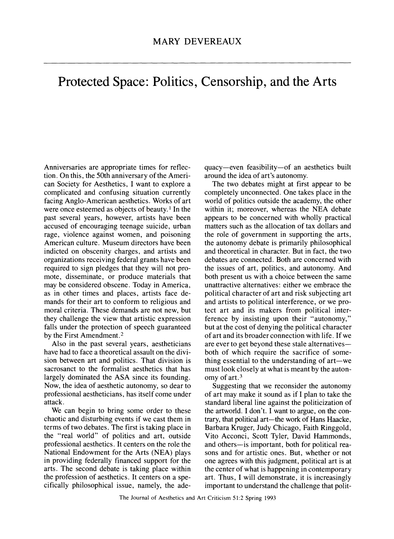## **Protected Space: Politics, Censorship, and the Arts**

**Anniversaries are appropriate times for reflection. On this, the 50th anniversary of the American Society for Aesthetics, I want to explore a complicated and confusing situation currently facing Anglo-American aesthetics. Works of art were once esteemed as objects of beauty.' In the past several years, however, artists have been accused of encouraging teenage suicide, urban rage, violence against women, and poisoning American culture. Museum directors have been indicted on obscenity charges, and artists and organizations receiving federal grants have been required to sign pledges that they will not promote, disseminate, or produce materials that may be considered obscene. Today in America, as in other times and places, artists face demands for their art to conform to religious and moral criteria. These demands are not new, but they challenge the view that artistic expression falls under the protection of speech guaranteed by the First Amendment.2** 

**Also in the past several years, aestheticians have had to face a theoretical assault on the division between art and politics. That division is sacrosanct to the formalist aesthetics that has largely dominated the ASA since its founding. Now, the idea of aesthetic autonomy, so dear to professional aestheticians, has itself come under attack.** 

**We can begin to bring some order to these chaotic and disturbing events if we cast them in terms of two debates. The first is taking place in the "real world" of politics and art, outside professional aesthetics. It centers on the role the National Endowment for the Arts (NEA) plays in providing federally financed support for the arts. The second debate is taking place within the profession of aesthetics. It centers on a specifically philosophical issue, namely, the ade-** **quacy-even feasibility-of an aesthetics built around the idea of art's autonomy.** 

**The two debates might at first appear to be completely unconnected. One takes place in the world of politics outside the academy, the other within it; moreover, whereas the NEA debate appears to be concerned with wholly practical matters such as the allocation of tax dollars and the role of government in supporting the arts, the autonomy debate is primarily philosophical and theoretical in character. But in fact, the two debates are connected. Both are concerned with the issues of art, politics, and autonomy. And both present us with a choice between the same unattractive alternatives: either we embrace the political character of art and risk subjecting art and artists to political interference, or we protect art and its makers from political interference by insisting upon their "autonomy," but at the cost of denying the political character of art and its broader connection with life. If we are ever to get beyond these stale alternativesboth of which require the sacrifice of something essential to the understanding of art-we must look closely at what is meant by the autonomy of art.3** 

**Suggesting that we reconsider the autonomy of art may make it sound as if I plan to take the standard liberal line against the politicization of the artworld. I don't. I want to argue, on the contrary, that political art-the work of Hans Haacke, Barbara Kruger, Judy Chicago, Faith Ringgold, Vito Acconci, Scott Tyler, David Hammonds,**  and others—is important, both for political rea**sons and for artistic ones. But, whether or not one agrees with this judgment, political art is at the center of what is happening in contemporary art. Thus, I will demonstrate, it is increasingly important to understand the challenge that polit-**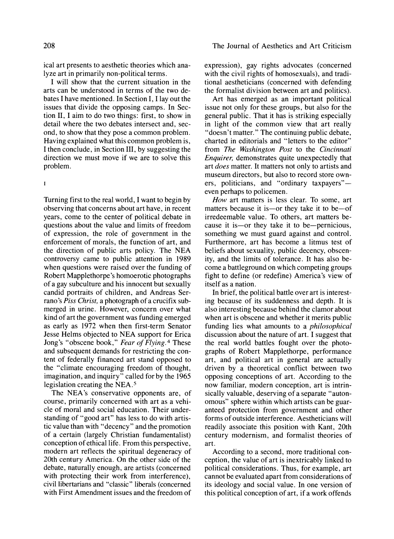**ical art presents to aesthetic theories which analyze art in primarily non-political terms.** 

**I will show that the current situation in the arts can be understood in terms of the two debates I have mentioned. In Section I, I lay out the issues that divide the opposing camps. In Section II, I aim to do two things: first, to show in detail where the two debates intersect and, second, to show that they pose a common problem. Having explained what this common problem is, I then conclude, in Section III, by suggesting the direction we must move if we are to solve this problem.** 

 $\mathbf{I}$ 

**Turning first to the real world, I want to begin by observing that concerns about art have, in recent years, come to the center of political debate in questions about the value and limits of freedom of expression, the role of government in the enforcement of morals, the function of art, and the direction of public arts policy. The NEA controversy came to public attention in 1989 when questions were raised over the funding of Robert Mapplethorpe's homoerotic photographs of a gay subculture and his innocent but sexually candid portraits of children, and Andreas Serrano's Piss Christ, a photograph of a crucifix submerged in urine. However, concern over what kind of art the government was funding emerged as early as 1972 when then first-term Senator Jesse Helms objected to NEA support for Erica Jong's "obscene book," Fear of Flying.4 These and subsequent demands for restricting the content of federally financed art stand opposed to the "climate encouraging freedom of thought, imagination, and inquiry" called for by the 1965 legislation creating the NEA.5** 

**The NEA's conservative opponents are, of course, primarily concerned with art as a vehicle of moral and social education. Their understanding of "good art" has less to do with artistic value than with "decency" and the promotion of a certain (largely Christian fundamentalist) conception of ethical life. From this perspective, modern art reflects the spiritual degeneracy of 20th century America. On the other side of the debate, naturally enough, are artists (concerned with protecting their work from interference), civil libertarians and "classic" liberals (concerned with First Amendment issues and the freedom of** 

**expression), gay rights advocates (concerned with the civil rights of homosexuals), and traditional aestheticians (concerned with defending the formalist division between art and politics).** 

**Art has emerged as an important political issue not only for these groups, but also for the general public. That it has is striking especially in light of the common view that art really "doesn't matter." The continuing public debate, charted in editorials and "letters to the editor" from The Washington Post to the Cincinnati Enquirer, demonstrates quite unexpectedly that art does matter. It matters not only to artists and museum directors, but also to record store own**ers, politicians, and "ordinary taxpayers"**even perhaps to policemen.** 

**How art matters is less clear. To some, art**  matters because it is—or they take it to be—of **irredeemable value. To others, art matters because it is-or they take it to be-pernicious, something we must guard against and control. Furthermore, art has become a litmus test of beliefs about sexuality, public decency, obscenity, and the limits of tolerance. It has also become a battleground on which competing groups fight to define (or redefine) America's view of itself as a nation.** 

**In brief, the political battle over art is interesting because of its suddenness and depth. It is also interesting because behind the clamor about when art is obscene and whether it merits public funding lies what amounts to a philosophical discussion about the nature of art. I suggest that the real world battles fought over the photographs of Robert Mapplethorpe, performance art, and political art in general are actually driven by a theoretical conflict between two opposing conceptions of art. According to the now familiar, modern conception, art is intrinsically valuable, deserving of a separate "autonomous" sphere within which artists can be guaranteed protection from government and other forms of outside interference. Aestheticians will readily associate this position with Kant, 20th century modernism, and formalist theories of art.** 

**According to a second, more traditional conception, the value of art is inextricably linked to political considerations. Thus, for example, art cannot be evaluated apart from considerations of its ideology and social value. In one version of this political conception of art, if a work offends**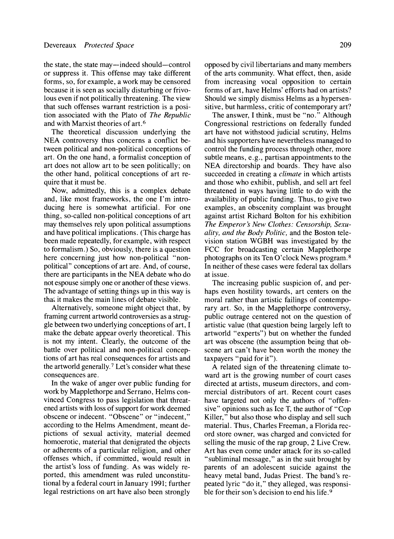**the state, the state may-indeed should-control or suppress it. This offense may take different forms, so, for example, a work may be censored because it is seen as socially disturbing or frivolous even if not politically threatening. The view that such offenses warrant restriction is a position associated with the Plato of The Republic and with Marxist theories of art.6** 

**The theoretical discussion underlying the NEA controversy thus concerns a conflict between political and non-political conceptions of art. On the one hand, a formalist conception of art does not allow art to be seen politically; on the other hand, political conceptions of art require that it must be.** 

**Now, admittedly, this is a complex debate and, like most frameworks, the one I'm introducing here is somewhat artificial. For one thing, so-called non-political conceptions of art may themselves rely upon political assumptions and have political implications. (This charge has been made repeatedly, for example, with respect to formalism.) So, obviously, there is a question here concerning just how non-political "nonpolitical" conceptions of art are. And, of course, there are participants in the NEA debate who do not espouse simply one or another of these views. The advantage of setting things up in this way is thai it makes the main lines of debate visible.** 

**Alternatively, someone might object that, by framing current artworld controversies as a struggle between two underlying conceptions of art, I make the debate appear overly theoretical. This is not my intent. Clearly, the outcome of the battle over political and non-political conceptions of art has real consequences for artists and the artworld generally.7 Let's consider what these consequences are.** 

**In the wake of anger over public funding for work by Mapplethorpe and Serrano, Helms convinced Congress to pass legislation that threatened artists with loss of support for work deemed obscene or indecent. "Obscene" or "indecent," according to the Helms Amendment, meant depictions of sexual activity, material deemed homoerotic, material that denigrated the objects or adherents of a particular religion, and other offenses which, if committed, would result in the artist's loss of funding. As was widely reported, this amendment was ruled unconstitutional by a federal court in January 1991; further legal restrictions on art have also been strongly** 

**opposed by civil libertarians and many members of the arts community. What effect, then, aside from increasing vocal opposition to certain forms of art, have Helms' efforts had on artists? Should we simply dismiss Helms as a hypersensitive, but harmless, critic of contemporary art?** 

**The answer, I think, must be "no." Although Congressional restrictions on federally funded art have not withstood judicial scrutiny, Helms and his supporters have nevertheless managed to control the funding process through other, more subtle means, e.g., partisan appointments to the NEA directorship and boards. They have also succeeded in creating a climate in which artists and those who exhibit, publish, and sell art feel threatened in ways having little to do with the availability of public funding. Thus, to give two examples, an obscenity complaint was brought against artist Richard Bolton for his exhibition**  The *Emperor's New Clothes: Censorship, Sexu***ality, and the Body Politic, and the Boston television station WGBH was investigated by the FCC for broadcasting certain Mapplethorpe photographs on its Ten O'clock News program.8 In neither of these cases were federal tax dollars at issue.** 

**The increasing public suspicion of, and perhaps even hostility towards, art centers on the moral rather than artistic failings of contemporary art. So, in the Mapplethorpe controversy, public outrage centered not on the question of artistic value (that question being largely left to artworld "experts") but on whether the funded art was obscene (the assumption being that obscene art can't have been worth the money the taxpayers "paid for it").** 

**A related sign of the threatening climate toward art is the growing number of court cases directed at artists, museum directors, and commercial distributors of art. Recent court cases have targeted not only the authors of "offensive" opinions such as Ice T, the author of "Cop Killer," but also those who display and sell such material. Thus, Charles Freeman, a Florida record store owner, was charged and convicted for selling the music of the rap group, 2 Live Crew. Art has even come under attack for its so-called "subliminal message," as in the suit brought by parents of an adolescent suicide against the heavy metal band, Judas Priest. The band's repeated lyric "do it," they alleged, was responsible for their son's decision to end his life.9**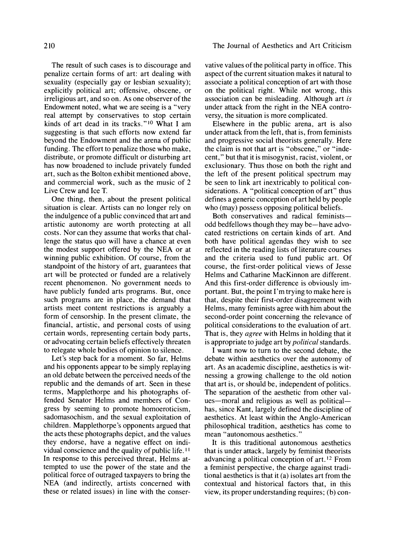**The result of such cases is to discourage and penalize certain forms of art: art dealing with sexuality (especially gay or lesbian sexuality); explicitly political art; offensive, obscene, or irreligious art, and so on. As one observer of the Endowment noted, what we are seeing is a "very real attempt by conservatives to stop certain kinds of art dead in its tracks."'0 What I am suggesting is that such efforts now extend far beyond the Endowment and the arena of public funding. The effort to penalize those who make, distribute, or promote difficult or disturbing art has now broadened to include privately funded art, such as the Bolton exhibit mentioned above, and commercial work, such as the music of 2 Live Crew and Ice T.** 

**One thing, then, about the present political situation is clear. Artists can no longer rely on the indulgence of a public convinced that art and artistic autonomy are worth protecting at all costs. Nor can they assume that works that challenge the status quo will have a chance at even the modest support offered by the NEA or at winning public exhibition. Of course, from the standpoint of the history of art, guarantees that art will be protected or funded are a relatively recent phenomenon. No government needs to have publicly funded arts programs. But, once such programs are in place, the demand that artists meet content restrictions is arguably a form of censorship. In the present climate, the financial, artistic, and personal costs of using certain words, representing certain body parts, or advocating certain beliefs effectively threaten to relegate whole bodies of opinion to silence.** 

**Let's step back for a moment. So far, Helms and his opponents appear to be simply replaying an old debate between the perceived needs of the republic and the demands of art. Seen in these terms, Mapplethorpe and his photographs offended Senator Helms and members of Congress by seeming to promote homoeroticism, sadomasochism, and the sexual exploitation of children. Mapplethorpe's opponents argued that the acts these photographs depict, and the values they endorse, have a negative effect on individual conscience and the quality of public life. " In response to this perceived threat, Helms attempted to use the power of the state and the political force of outraged taxpayers to bring the NEA (and indirectly, artists concerned with these or related issues) in line with the conser-** **vative values of the political party in office. This aspect of the current situation makes it natural to associate a political conception of art with those on the political right. While not wrong, this association can be misleading. Although art is under attack from the right in the NEA controversy, the situation is more complicated.** 

**Elsewhere in the public arena, art is also under attack from the left, that is, from feminists and progressive social theorists generally. Here the claim is not that art is "obscene," or "indecent," but that it is misogynist, racist, violent, or exclusionary. Thus those on both the right and the left of the present political spectrum may be seen to link art inextricably to political considerations. A "political conception of art" thus defines a generic conception of art held by people who (may) possess opposing political beliefs.** 

**Both conservatives and radical feminists odd bedfellows though they may be-have advocated restrictions on certain kinds of art. And both have political agendas they wish to see reflected in the reading lists of literature courses and the criteria used to fund public art. Of course, the first-order political views of Jesse Helms and Catharine MacKinnon are different. And this first-order difference is obviously important. But, the point I'm trying to make here is that, despite their first-order disagreement with Helms, many feminists agree with him about the second-order point concerning the relevance of political considerations to the evaluation of art. That is, they agree with Helms in holding that it is appropriate to judge art by political standards.** 

**I want now to turn to the second debate, the debate within aesthetics over the autonomy of art. As an academic discipline, aesthetics is witnessing a growing challenge to the old notion that art is, or should be, independent of politics. The separation of the aesthetic from other val**ues—moral and religious as well as political **has, since Kant, largely defined the discipline of aesthetics. At least within the Anglo-American philosophical tradition, aesthetics has come to mean "autonomous aesthetics."** 

**It is this traditional autonomous aesthetics that is under attack, largely by feminist theorists advancing a political conception of art.12 From a feminist perspective, the charge against traditional aesthetics is that it (a) isolates art from the contextual and historical factors that, in this view, its proper understanding requires; (b) con-**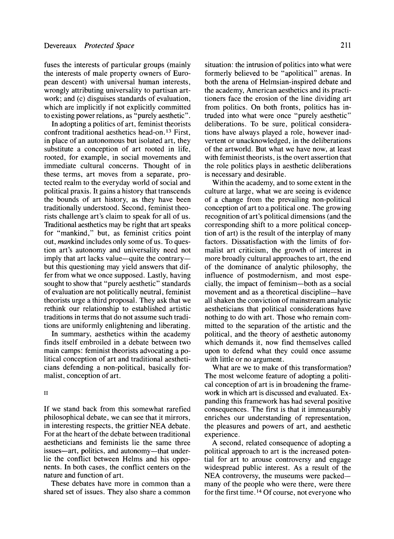**fuses the interests of particular groups (mainly the interests of male property owners of European descent) with universal human interests, wrongly attributing universality to partisan artwork; and (c) disguises standards of evaluation, which are implicitly if not explicitly committed to existing power relations, as "purely aesthetic".** 

**In adopting a politics of art, feminist theorists confront traditional aesthetics head-on.'3 First, in place of an autonomous but isolated art, they substitute a conception of art rooted in life, rooted, for example, in social movements and immediate cultural concerns. Thought of in these terms, art moves from a separate, protected realm to the everyday world of social and political praxis. It gains a history that transcends the bounds of art history, as they have been traditionally understood. Second, feminist theorists challenge art's claim to speak for all of us. Traditional aesthetics may be right that art speaks for "mankind," but, as feminist critics point out, mankind includes only some of us. To question art's autonomy and universality need not**  imply that art lacks value—quite the contrary **but this questioning may yield answers that differ from what we once supposed. Lastly, having sought to show that "purely aesthetic" standards of evaluation are not politically neutral, feminist theorists urge a third proposal. They ask that we rethink our relationship to established artistic traditions in terms that do not assume such traditions are uniformly enlightening and liberating.** 

**In summary, aesthetics within the academy finds itself embroiled in a debate between two main camps: feminist theorists advocating a political conception of art and traditional aestheticians defending a non-political, basically formalist, conception of art.** 

## **II**

**If we stand back from this somewhat rarefied philosophical debate, we can see that it mirrors, in interesting respects, the grittier NEA debate. For at the heart of the debate between traditional aestheticians and feminists lie the same three issues-art, politics, and autonomy-that underlie the conflict between Helms and his opponents. In both cases, the conflict centers on the nature and function of art.** 

**These debates have more in common than a shared set of issues. They also share a common** 

**situation: the intrusion of politics into what were formerly believed to be "apolitical" arenas. In both the arena of Helmsian-inspired debate and the academy, American aesthetics and its practitioners face the erosion of the line dividing art from politics. On both fronts, politics has intruded into what were once "purely aesthetic" deliberations. To be sure, political considerations have always played a role, however inadvertent or unacknowledged, in the deliberations of the artworld. But what we have now, at least with feminist theorists, is the overt assertion that the role politics plays in aesthetic deliberations is necessary and desirable.** 

**Within the academy, and to some extent in the culture at large, what we are seeing is evidence of a change from the prevailing non-political conception of art to a political one. The growing recognition of art's political dimensions (and the corresponding shift to a more political conception of art) is the result of the interplay of many factors. Dissatisfaction with the limits of formalist art criticism, the growth of interest in more broadly cultural approaches to art, the end of the dominance of analytic philosophy, the influence of postmodernism, and most especially, the impact of feminism-both as a social movement and as a theoretical discipline-have all shaken the conviction of mainstream analytic aestheticians that political considerations have nothing to do with art. Those who remain committed to the separation of the artistic and the political, and the theory of aesthetic autonomy which demands it, now find themselves called upon to defend what they could once assume with little or no argument.** 

**What are we to make of this transformation? The most welcome feature of adopting a political conception of art is in broadening the framework in which art is discussed and evaluated. Expanding this framework has had several positive consequences. The first is that it immeasurably enriches our understanding of representation, the pleasures and powers of art, and aesthetic experience.** 

**A second, related consequence of adopting a political approach to art is the increased potential for art to arouse controversy and engage widespread public interest. As a result of the**  NEA controversy, the museums were packed **many of the people who were there, were there for the first time.14 Of course, not everyone who**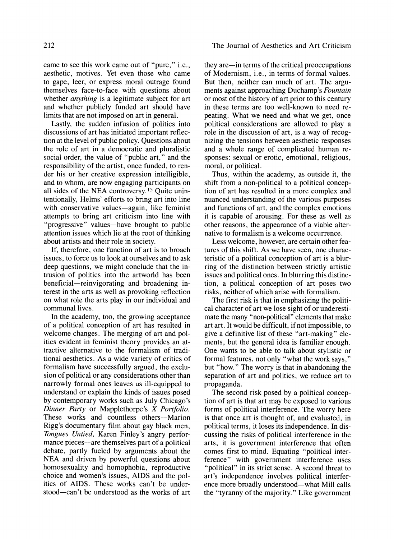**came to see this work came out of "pure," i.e., aesthetic, motives. Yet even those who came to gape, leer, or express moral outrage found themselves face-to-face with questions about whether anything is a legitimate subject for art and whether publicly funded art should have limits that are not imposed on art in general.** 

**Lastly, the sudden infusion of politics into discussions of art has initiated important reflection at the level of public policy. Questions about the role of art in a democratic and pluralistic social order, the value of "public art," and the responsibility of the artist, once funded, to render his or her creative expression intelligible, and to whom, are now engaging participants on all sides of the NEA controversy. 15 Quite unintentionally, Helms' efforts to bring art into line with conservative values-again, like feminist attempts to bring art criticism into line with "progressive" values-have brought to public attention issues which lie at the root of thinking about artists and their role in society.** 

**If, therefore, one function of art is to broach issues, to force us to look at ourselves and to ask deep questions, we might conclude that the intrusion of politics into the artworld has been beneficial-reinvigorating and broadening interest in the arts as well as provoking reflection on what role the arts play in our individual and communal lives.** 

**In the academy, too, the growing acceptance of a political conception of art has resulted in welcome changes. The merging of art and politics evident in feminist theory provides an attractive alternative to the formalism of traditional aesthetics. As a wide variety of critics of formalism have successfully argued, the exclusion of political or any considerations other than narrowly formal ones leaves us ill-equipped to understand or explain the kinds of issues posed by contemporary works such as July Chicago's Dinner Party or Mapplethorpe's X Portfolio. These works and countless others-Marion Rigg's documentary film about gay black men, Tongues Untied, Karen Finley's angry performance pieces-are themselves part of a political debate, partly fueled by arguments about the NEA and driven by powerful questions about homosexuality and homophobia, reproductive choice and women's issues, AIDS and the politics of AIDS. These works can't be understood-can't be understood as the works of art** 

**they are-in terms of the critical preoccupations of Modernism, i.e., in terms of formal values. But then, neither can much of art. The arguments against approaching Duchamp's Fountain or most of the history of art prior to this century in these terms are too well-known to need repeating. What we need and what we get, once political considerations are allowed to play a role in the discussion of art, is a way of recognizing the tensions between aesthetic responses and a whole range of complicated human responses: sexual or erotic, emotional, religious, moral, or political.** 

**Thus, within the academy, as outside it, the shift from a non-political to a political conception of art has resulted in a more complex and nuanced understanding of the various purposes and functions of art, and the complex emotions it is capable of arousing. For these as well as other reasons, the appearance of a viable alternative to formalism is a welcome occurrence.** 

**Less welcome, however, are certain other features of this shift. As we have seen, one characteristic of a political conception of art is a blurring of the distinction between strictly artistic issues and political ones. In blurring this distinction, a political conception of art poses two risks, neither of which arise with formalism.** 

**The first risk is that in emphasizing the political character of art we lose sight of or underestimate the many "non-political" elements that make art art. It would be difficult, if not impossible, to give a definitive list of these "art-making" elements, but the general idea is familiar enough. One wants to be able to talk about stylistic or formal features, not only "what the work says," but "how." The worry is that in abandoning the separation of art and politics, we reduce art to propaganda.** 

**The second risk posed by a political conception of art is that art may be exposed to various forms of political interference. The worry here is that once art is thought of, and evaluated, in political terms, it loses its independence. In discussing the risks of political interference in the arts, it is government interference that often comes first to mind. Equating "political interference" with government interference uses "political" in its strict sense. A second threat to art's independence involves political interference more broadly understood-what Mill calls the "tyranny of the majority." Like government**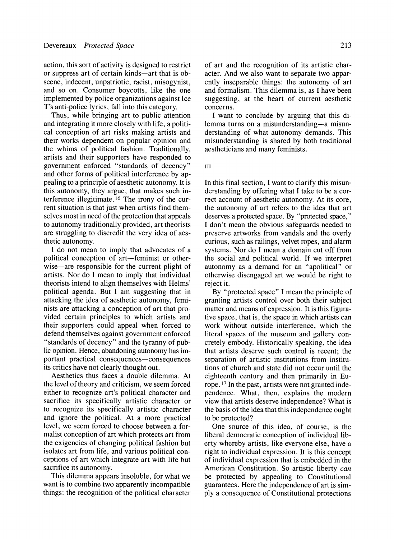**action, this sort of activity is designed to restrict or suppress art of certain kinds-art that is obscene, indecent, unpatriotic, racist, misogynist, and so on. Consumer boycotts, like the one implemented by police organizations against Ice T's anti-police lyrics, fall into this category.** 

**Thus, while bringing art to public attention and integrating it more closely with life, a political conception of art risks making artists and their works dependent on popular opinion and the whims of political fashion. Traditionally, artists and their supporters have responded to government enforced "standards of decency" and other forms of political interference by appealing to a principle of aesthetic autonomy. It is this autonomy, they argue, that makes such interference illegitimate.16 The irony of the current situation is that just when artists find themselves most in need of the protection that appeals to autonomy traditionally provided, art theorists are struggling to discredit the very idea of aesthetic autonomy.** 

**I do not mean to imply that advocates of a political conception of art-feminist or otherwise-are responsible for the current plight of artists. Nor do I mean to imply that individual theorists intend to align themselves with Helms' political agenda. But I am suggesting that in attacking the idea of aesthetic autonomy, feminists are attacking a conception of art that provided certain principles to which artists and their supporters could appeal when forced to defend themselves against government enforced "standards of decency" and the tyranny of public opinion. Hence, abandoning autonomy has important practical consequences-consequences its critics have not clearly thought out.** 

**Aesthetics thus faces a double dilemma. At the level of theory and criticism, we seem forced either to recognize art's political character and sacrifice its specifically artistic character or to recognize its specifically artistic character and ignore the political. At a more practical level, we seem forced to choose between a formalist conception of art which protects art from the exigencies of changing political fashion but isolates art from life, and various political conceptions of art which integrate art with life but sacrifice its autonomy.** 

**This dilemma appears insoluble, for what we want is to combine two apparently incompatible things: the recognition of the political character**  **of art and the recognition of its artistic character. And we also want to separate two apparently inseparable things: the autonomy of art and formalism. This dilemma is, as I have been suggesting, at the heart of current aesthetic concerns.** 

**I want to conclude by arguing that this dilemma turns on a misunderstanding-a misunderstanding of what autonomy demands. This misunderstanding is shared by both traditional aestheticians and many feminists.** 

**III** 

**In this final section, I want to clarify this misunderstanding by offering what I take to be a correct account of aesthetic autonomy. At its core, the autonomy of art refers to the idea that art deserves a protected space. By "protected space," I don't mean the obvious safeguards needed to preserve artworks from vandals and the overly curious, such as railings, velvet ropes, and alarm systems. Nor do I mean a domain cut off from the social and political world. If we interpret autonomy as a demand for an "apolitical" or otherwise disengaged art we would be right to reject it.** 

**By "protected space" I mean the principle of granting artists control over both their subject matter and means of expression. It is this figurative space, that is, the space in which artists can work without outside interference, which the literal spaces of the museum and gallery concretely embody. Historically speaking, the idea that artists deserve such control is recent; the separation of artistic institutions from institutions of church and state did not occur until the eighteenth century and then primarily in Europe. 17 In the past, artists were not granted independence. What, then, explains the modern view that artists deserve independence? What is the basis of the idea that this independence ought to be protected?** 

**One source of this idea, of course, is the liberal democratic conception of individual liberty whereby artists, like everyone else, have a right to individual expression. It is this concept of individual expression that is embedded in the American Constitution. So artistic liberty can be protected by appealing to Constitutional guarantees. Here the independence of art is simply a consequence of Constitutional protections**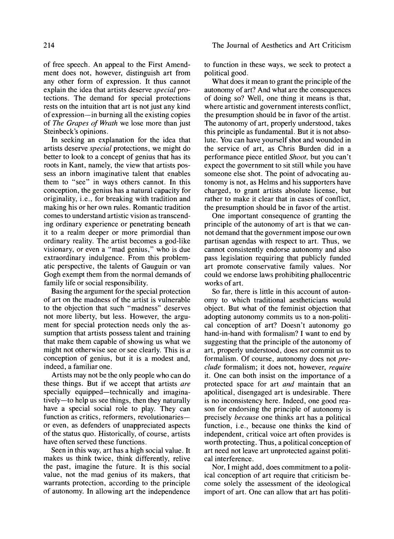**of free speech. An appeal to the First Amendment does not, however, distinguish art from any other form of expression. It thus cannot explain the idea that artists deserve special protections. The demand for special protections rests on the intuition that art is not just any kind of expression-in burning all the existing copies of The Grapes of Wrath we lose more than just Steinbeck's opinions.** 

**In seeking an explanation for the idea that artists deserve special protections, we might do better to look to a concept of genius that has its roots in Kant, namely, the view that artists possess an inborn imaginative talent that enables them to "see" in ways others cannot. In this conception, the genius has a natural capacity for originality, i.e., for breaking with tradition and making his or her own rules. Romantic tradition comes to understand artistic vision as transcending ordinary experience or penetrating beneath it to a realm deeper or more primordial than ordinary reality. The artist becomes a god-like visionary, or even a "mad genius," who is due extraordinary indulgence. From this problematic perspective, the talents of Gauguin or van Gogh exempt them from the normal demands of family life or social responsibility.** 

**Basing the argument for the special protection of art on the madness of the artist is vulnerable to the objection that such "madness" deserves not more liberty, but less. However, the argument for special protection needs only the assumption that artists possess talent and training that make them capable of showing us what we might not otherwise see or see clearly. This is a conception of genius, but it is a modest and, indeed, a familiar one.** 

**Artists may not be the only people who can do these things. But if we accept that artists are**  specially equipped—technically and imagina**tively-to help us see things, then they naturally have a special social role to play. They can function as critics, reformers, revolutionariesor even, as defenders of unappreciated aspects of the status quo. Historically, of course, artists have often served these functions.** 

**Seen in this way, art has a high social value. It makes us think twice, think differently, relive the past, imagine the future. It is this social value, not the mad genius of its makers, that warrants protection, according to the principle of autonomy. In allowing art the independence** 

**to function in these ways, we seek to protect a political good.** 

**What does it mean to grant the principle of the autonomy of art? And what are the consequences of doing so? Well, one thing it means is that, where artistic and government interests conflict, the presumption should be in favor of the artist. The autonomy of art, properly understood, takes this principle as fundamental. But it is not absolute. You can have yourself shot and wounded in the service of art, as Chris Burden did in a performance piece entitled Shoot, but you can't expect the government to sit still while you have someone else shot. The point of advocating autonomy is not, as Helms and his supporters have charged, to grant artists absolute license, but rather to make it clear that in cases of conflict, the presumption should be in favor of the artist.** 

**One important consequence of granting the principle of the autonomy of art is that we cannot demand that the government impose our own partisan agendas with respect to art. Thus, we cannot consistently endorse autonomy and also pass legislation requiring that publicly funded art promote conservative family values. Nor could we endorse laws prohibiting phallocentric works of art.** 

**So far, there is little in this account of autonomy to which traditional aestheticians would object. But what of the feminist objection that adopting autonomy commits us to a non-political conception of art? Doesn't autonomy go hand-in-hand with formalism? I want to end by suggesting that the principle of the autonomy of art, properly understood, does not commit us to formalism. Of course, autonomy does not preclude formalism; it does not, however, require it. One can both insist on the importance of a protected space for art and maintain that an apolitical, disengaged art is undesirable. There is no inconsistency here. Indeed, one good reason for endorsing the principle of autonomy is precisely because one thinks art has a political function, i.e., because one thinks the kind of independent, critical voice art often provides is worth protecting. Thus, a political conception of art need not leave art unprotected against political interference.** 

**Nor, I might add, does commitment to a political conception of art require that criticism become solely the assessment of the ideological import of art. One can allow that art has politi-**